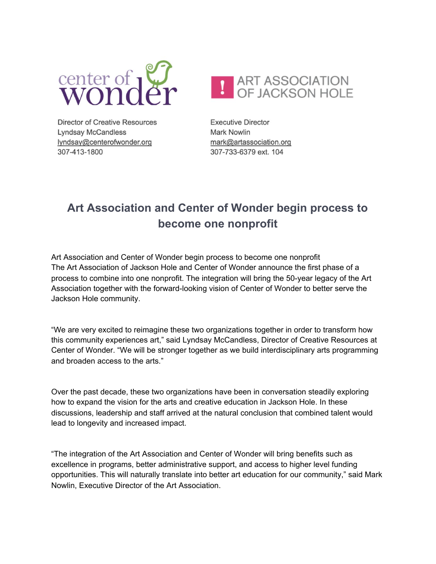



**Director of Creative Resources Lyndsay McCandless** lyndsay@centerofwonder.org 307-413-1800

**Executive Director Mark Nowlin** mark@artassociation.org 307-733-6379 ext. 104

## **Art Association and Center of Wonder begin process to become one nonprofit**

Art Association and Center of Wonder begin process to become one nonprofit The Art Association of Jackson Hole and Center of Wonder announce the first phase of a process to combine into one nonprofit. The integration will bring the 50-year legacy of the Art Association together with the forward-looking vision of Center of Wonder to better serve the Jackson Hole community.

"We are very excited to reimagine these two organizations together in order to transform how this community experiences art," said Lyndsay McCandless, Director of Creative Resources at Center of Wonder. "We will be stronger together as we build interdisciplinary arts programming and broaden access to the arts."

Over the past decade, these two organizations have been in conversation steadily exploring how to expand the vision for the arts and creative education in Jackson Hole. In these discussions, leadership and staff arrived at the natural conclusion that combined talent would lead to longevity and increased impact.

"The integration of the Art Association and Center of Wonder will bring benefits such as excellence in programs, better administrative support, and access to higher level funding opportunities. This will naturally translate into better art education for our community," said Mark Nowlin, Executive Director of the Art Association.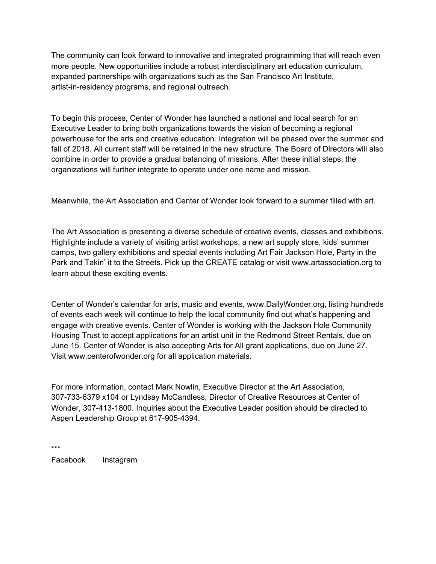The community can look forward to innovative and integrated programming that will reach even more people. New opportunities include a robust interdisciplinary art education curriculum, expanded partnerships with organizations such as the San Francisco Art Institute, artist-in-residency programs, and regional outreach.

To begin this process, Center of Wonder has launched a national and local search for an Executive Leader to bring both organizations towards the vision of becoming a regional powerhouse for the arts and creative education. Integration will be phased over the summer and fall of 2018. All current staff will be retained in the new structure. The Board of Directors will also combine in order to provide a gradual balancing of missions. After these initial steps, the organizations will further integrate to operate under one name and mission.

Meanwhile, the Art Association and Center of Wonder look forward to a summer filled with art.

The Art Association is presenting a diverse schedule of creative events, classes and exhibitions. Highlights include a variety of visiting artist workshops, a new art supply store, kids' summer camps, two gallery exhibitions and special events including Art Fair Jackson Hole, Party in the Park and Takin' it to the Streets. Pick up the CREATE catalog or visit www.artassociation.org to learn about these exciting events.

Center of Wonder's calendar for arts, music and events, www.DailyWonder.org, listing hundreds of events each week will continue to help the local community find out what's happening and engage with creative events. Center of Wonder is working with the Jackson Hole Community Housing Trust to accept applications for an artist unit in the Redmond Street Rentals, due on June 15. Center of Wonder is also accepting Arts for All grant applications, due on June 27. Visit www.centerofwonder.org for all application materials.

For more information, contact Mark Nowlin, Executive Director at the Art Association, 307-733-6379 x104 or Lyndsay McCandless, Director of Creative Resources at Center of Wonder, 307-413-1800. Inquiries about the Executive Leader position should be directed to Aspen Leadership Group at 617-905-4394.

\*\*\* Facebook Instagram